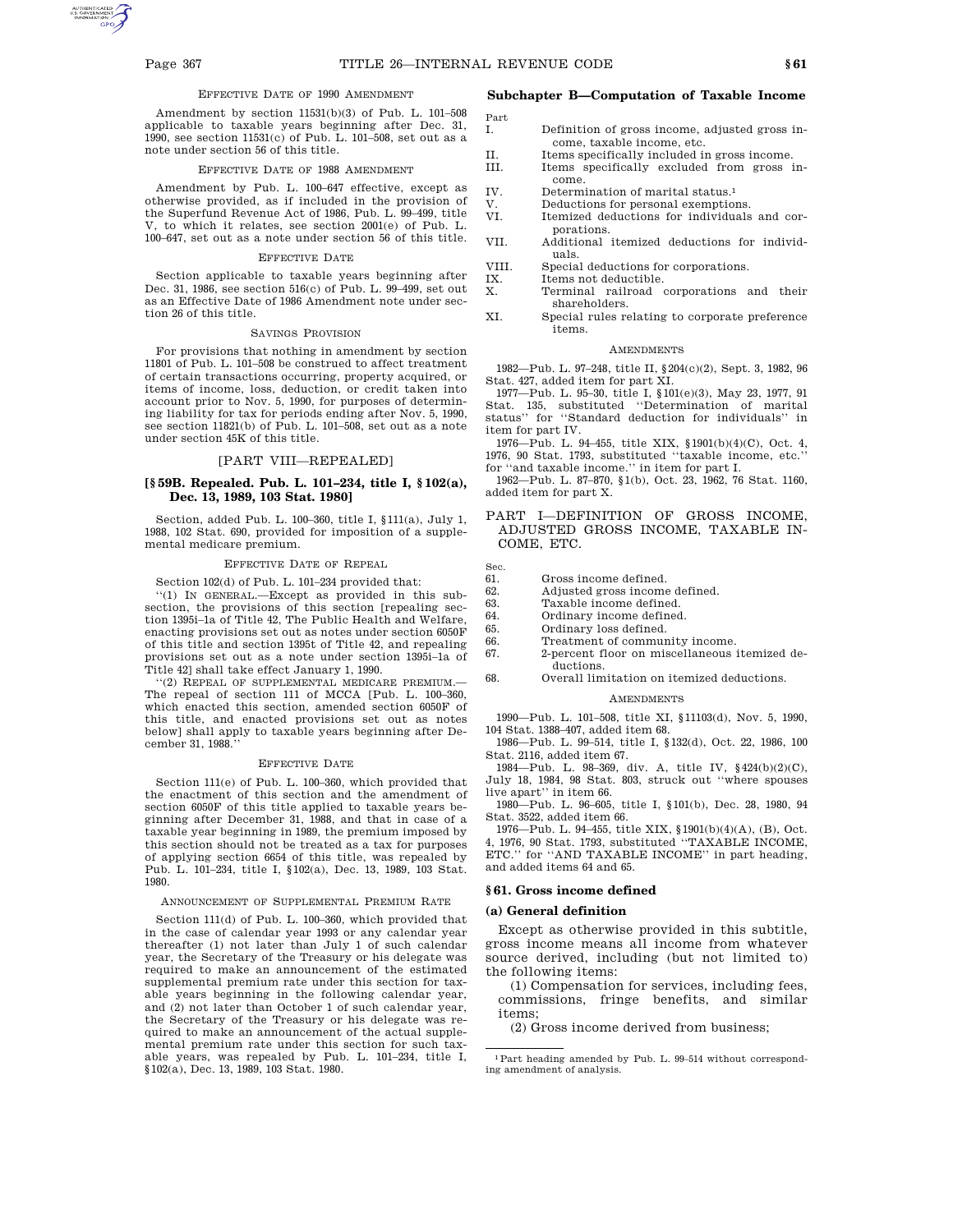Part

### EFFECTIVE DATE OF 1990 AMENDMENT

Amendment by section 11531(b)(3) of Pub. L. 101–508 applicable to taxable years beginning after Dec. 31, 1990, see section 11531(c) of Pub. L. 101–508, set out as a note under section 56 of this title.

#### EFFECTIVE DATE OF 1988 AMENDMENT

Amendment by Pub. L. 100–647 effective, except as otherwise provided, as if included in the provision of the Superfund Revenue Act of 1986, Pub. L. 99–499, title V, to which it relates, see section 2001(e) of Pub. L. 100–647, set out as a note under section 56 of this title.

#### EFFECTIVE DATE

Section applicable to taxable years beginning after Dec. 31, 1986, see section 516(c) of Pub. L. 99–499, set out as an Effective Date of 1986 Amendment note under section 26 of this title.

#### SAVINGS PROVISION

For provisions that nothing in amendment by section 11801 of Pub. L. 101–508 be construed to affect treatment of certain transactions occurring, property acquired, or items of income, loss, deduction, or credit taken into account prior to Nov. 5, 1990, for purposes of determining liability for tax for periods ending after Nov. 5, 1990, see section 11821(b) of Pub. L. 101–508, set out as a note under section 45K of this title.

# [PART VIII—REPEALED]

## **[§ 59B. Repealed. Pub. L. 101–234, title I, § 102(a), Dec. 13, 1989, 103 Stat. 1980]**

Section, added Pub. L. 100–360, title I, §111(a), July 1, 1988, 102 Stat. 690, provided for imposition of a supplemental medicare premium.

### EFFECTIVE DATE OF REPEAL

# Section 102(d) of Pub. L. 101–234 provided that:

''(1) IN GENERAL.—Except as provided in this subsection, the provisions of this section [repealing section 1395i–1a of Title 42, The Public Health and Welfare, enacting provisions set out as notes under section 6050F of this title and section 1395t of Title 42, and repealing provisions set out as a note under section 1395i–1a of Title 42] shall take effect January 1, 1990.

''(2) REPEAL OF SUPPLEMENTAL MEDICARE PREMIUM.— The repeal of section 111 of MCCA [Pub. L. 100–360, which enacted this section, amended section 6050F of this title, and enacted provisions set out as notes below] shall apply to taxable years beginning after December 31, 1988.''

### EFFECTIVE DATE

Section 111(e) of Pub. L. 100–360, which provided that the enactment of this section and the amendment of section 6050F of this title applied to taxable years beginning after December 31, 1988, and that in case of a taxable year beginning in 1989, the premium imposed by this section should not be treated as a tax for purposes of applying section 6654 of this title, was repealed by Pub. L. 101–234, title I, §102(a), Dec. 13, 1989, 103 Stat. 1980.

#### ANNOUNCEMENT OF SUPPLEMENTAL PREMIUM RATE

Section 111(d) of Pub. L. 100–360, which provided that in the case of calendar year 1993 or any calendar year thereafter (1) not later than July 1 of such calendar year, the Secretary of the Treasury or his delegate was required to make an announcement of the estimated supplemental premium rate under this section for taxable years beginning in the following calendar year, and (2) not later than October 1 of such calendar year, the Secretary of the Treasury or his delegate was required to make an announcement of the actual supplemental premium rate under this section for such taxable years, was repealed by Pub. L. 101–234, title I, §102(a), Dec. 13, 1989, 103 Stat. 1980.

# **Subchapter B—Computation of Taxable Income**

- I. Definition of gross income, adjusted gross income, taxable income, etc.
- II. Items specifically included in gross income.
- III. Items specifically excluded from gross income.
- IV. Determination of marital status.1
- V. Deductions for personal exemptions.<br>VI. Itemized deductions for individuals
	- Itemized deductions for individuals and corporations.
- VII. Additional itemized deductions for individuals.
- VIII. Special deductions for corporations.
- IX. Items not deductible.<br>X. Terminal railroad
	- Terminal railroad corporations and their shareholders.
- XI. Special rules relating to corporate preference items.

## **AMENDMENTS**

1982—Pub. L. 97–248, title II, §204(c)(2), Sept. 3, 1982, 96 Stat. 427, added item for part XI.

1977—Pub. L. 95–30, title I, §101(e)(3), May 23, 1977, 91 Stat. 135, substituted ''Determination of marital status'' for ''Standard deduction for individuals'' in item for part IV.

1976—Pub. L. 94–455, title XIX, §1901(b)(4)(C), Oct. 4, 1976, 90 Stat. 1793, substituted ''taxable income, etc.'' for ''and taxable income.'' in item for part I.

1962—Pub. L. 87–870, §1(b), Oct. 23, 1962, 76 Stat. 1160, added item for part X.

PART I—DEFINITION OF GROSS INCOME, ADJUSTED GROSS INCOME, TAXABLE IN-COME, ETC.

Sec.<br>61.

- 61. Gross income defined.<br>62. Adjusted gross income
- Adjusted gross income defined.
- 63. Taxable income defined.<br>64. Ordinary income defined
- 64. Ordinary income defined.<br>65. Ordinary loss defined.
- 65. Ordinary loss defined.
- 66. Treatment of community income.<br>67. 2-percent floor on miscellaneous
	- 67. 2-percent floor on miscellaneous itemized deductions.
- 68. Overall limitation on itemized deductions.

#### **AMENDMENTS**

1990—Pub. L. 101–508, title XI, §11103(d), Nov. 5, 1990, 104 Stat. 1388–407, added item 68.

1986—Pub. L. 99–514, title I, §132(d), Oct. 22, 1986, 100 Stat. 2116, added item 67.

1984—Pub. L. 98–369, div. A, title IV, §424(b)(2)(C), July 18, 1984, 98 Stat. 803, struck out ''where spouses live apart'' in item 66.

1980—Pub. L. 96–605, title I, §101(b), Dec. 28, 1980, 94 Stat. 3522, added item 66.

1976—Pub. L. 94–455, title XIX, §1901(b)(4)(A), (B), Oct. 4, 1976, 90 Stat. 1793, substituted ''TAXABLE INCOME, ETC.'' for ''AND TAXABLE INCOME'' in part heading, and added items 64 and 65.

# **§ 61. Gross income defined**

### **(a) General definition**

Except as otherwise provided in this subtitle, gross income means all income from whatever source derived, including (but not limited to) the following items:

(1) Compensation for services, including fees, commissions, fringe benefits, and similar items;

(2) Gross income derived from business;

<sup>1</sup>Part heading amended by Pub. L. 99–514 without corresponding amendment of analysis.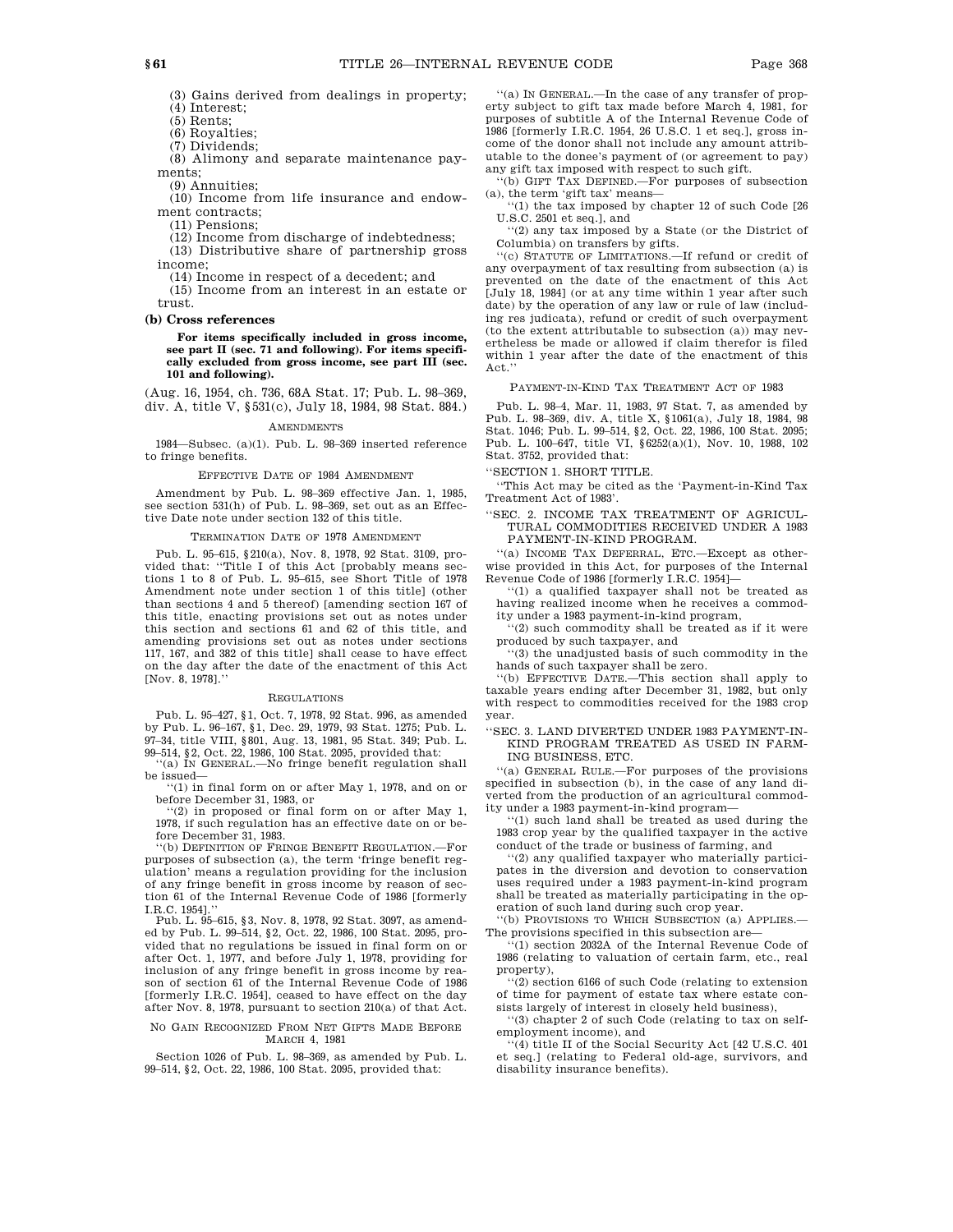(3) Gains derived from dealings in property;  $(4)$  Interest;

(5) Rents;

(6) Royalties;

(7) Dividends;

(8) Alimony and separate maintenance payments;

(9) Annuities;

(10) Income from life insurance and endowment contracts;

(11) Pensions;

(12) Income from discharge of indebtedness;

(13) Distributive share of partnership gross income;

(14) Income in respect of a decedent; and

(15) Income from an interest in an estate or trust.

#### **(b) Cross references**

**For items specifically included in gross income, see part II (sec. 71 and following). For items specifically excluded from gross income, see part III (sec. 101 and following).**

(Aug. 16, 1954, ch. 736, 68A Stat. 17; Pub. L. 98–369, div. A, title V, §531(c), July 18, 1984, 98 Stat. 884.)

**AMENDMENTS** 

1984—Subsec. (a)(1). Pub. L. 98–369 inserted reference to fringe benefits.

#### EFFECTIVE DATE OF 1984 AMENDMENT

Amendment by Pub. L. 98–369 effective Jan. 1, 1985, see section 531(h) of Pub. L. 98–369, set out as an Effective Date note under section 132 of this title.

#### TERMINATION DATE OF 1978 AMENDMENT

Pub. L. 95–615, §210(a), Nov. 8, 1978, 92 Stat. 3109, provided that: ''Title I of this Act [probably means sections 1 to 8 of Pub. L. 95–615, see Short Title of 1978 Amendment note under section 1 of this title] (other than sections 4 and 5 thereof) [amending section 167 of this title, enacting provisions set out as notes under this section and sections 61 and 62 of this title, and amending provisions set out as notes under sections 117, 167, and 382 of this title] shall cease to have effect on the day after the date of the enactment of this Act [Nov. 8, 1978].''

#### REGULATIONS

Pub. L. 95–427, §1, Oct. 7, 1978, 92 Stat. 996, as amended by Pub. L. 96–167, §1, Dec. 29, 1979, 93 Stat. 1275; Pub. L. 97–34, title VIII, §801, Aug. 13, 1981, 95 Stat. 349; Pub. L.

99–514, §2, Oct. 22, 1986, 100 Stat. 2095, provided that: ''(a) IN GENERAL.—No fringe benefit regulation shall be issued—

 $(1)$  in final form on or after May 1, 1978, and on or before December 31, 1983, or

''(2) in proposed or final form on or after May 1, 1978, if such regulation has an effective date on or before December 31, 1983.

''(b) DEFINITION OF FRINGE BENEFIT REGULATION.—For purposes of subsection (a), the term 'fringe benefit regulation' means a regulation providing for the inclusion of any fringe benefit in gross income by reason of section 61 of the Internal Revenue Code of 1986 [formerly I.R.C. 1954].

Pub. L. 95–615, §3, Nov. 8, 1978, 92 Stat. 3097, as amended by Pub. L. 99–514, §2, Oct. 22, 1986, 100 Stat. 2095, provided that no regulations be issued in final form on or after Oct. 1, 1977, and before July 1, 1978, providing for inclusion of any fringe benefit in gross income by reason of section 61 of the Internal Revenue Code of 1986 [formerly I.R.C. 1954], ceased to have effect on the day after Nov. 8, 1978, pursuant to section 210(a) of that Act.

#### NO GAIN RECOGNIZED FROM NET GIFTS MADE BEFORE MARCH 4, 1981

Section 1026 of Pub. L. 98–369, as amended by Pub. L. 99–514, §2, Oct. 22, 1986, 100 Stat. 2095, provided that:

''(a) IN GENERAL.—In the case of any transfer of property subject to gift tax made before March 4, 1981, for purposes of subtitle A of the Internal Revenue Code of 1986 [formerly I.R.C. 1954, 26 U.S.C. 1 et seq.], gross income of the donor shall not include any amount attributable to the donee's payment of (or agreement to pay) any gift tax imposed with respect to such gift.

 $'(b)$  GIFT TAX DEFINED.—For purposes of subsection (a), the term 'gift tax' means—

''(1) the tax imposed by chapter 12 of such Code [26 U.S.C. 2501 et seq.], and

''(2) any tax imposed by a State (or the District of Columbia) on transfers by gifts.

''(c) STATUTE OF LIMITATIONS.—If refund or credit of any overpayment of tax resulting from subsection (a) is prevented on the date of the enactment of this Act [July 18, 1984] (or at any time within 1 year after such date) by the operation of any law or rule of law (including res judicata), refund or credit of such overpayment (to the extent attributable to subsection (a)) may nevertheless be made or allowed if claim therefor is filed within 1 year after the date of the enactment of this Act.'

PAYMENT-IN-KIND TAX TREATMENT ACT OF 1983

Pub. L. 98–4, Mar. 11, 1983, 97 Stat. 7, as amended by Pub. L. 98–369, div. A, title X, §1061(a), July 18, 1984, 98 Stat. 1046; Pub. L. 99–514, §2, Oct. 22, 1986, 100 Stat. 2095; Pub. L. 100–647, title VI, §6252(a)(1), Nov. 10, 1988, 102 Stat. 3752, provided that:

''SECTION 1. SHORT TITLE.

''This Act may be cited as the 'Payment-in-Kind Tax Treatment Act of 1983'.

''SEC. 2. INCOME TAX TREATMENT OF AGRICUL-TURAL COMMODITIES RECEIVED UNDER A 1983 PAYMENT-IN-KIND PROGRAM.

''(a) INCOME TAX DEFERRAL, ETC.—Except as otherwise provided in this Act, for purposes of the Internal Revenue Code of 1986 [formerly I.R.C. 1954]—

''(1) a qualified taxpayer shall not be treated as having realized income when he receives a commodity under a 1983 payment-in-kind program,

''(2) such commodity shall be treated as if it were produced by such taxpayer, and

''(3) the unadjusted basis of such commodity in the hands of such taxpayer shall be zero.

''(b) EFFECTIVE DATE.—This section shall apply to taxable years ending after December 31, 1982, but only with respect to commodities received for the 1983 crop year.

'SEC. 3. LAND DIVERTED UNDER 1983 PAYMENT-IN-KIND PROGRAM TREATED AS USED IN FARM-ING BUSINESS, ETC.

''(a) GENERAL RULE.—For purposes of the provisions specified in subsection (b), in the case of any land diverted from the production of an agricultural commodity under a 1983 payment-in-kind program—

''(1) such land shall be treated as used during the 1983 crop year by the qualified taxpayer in the active conduct of the trade or business of farming, and

''(2) any qualified taxpayer who materially participates in the diversion and devotion to conservation uses required under a 1983 payment-in-kind program shall be treated as materially participating in the operation of such land during such crop year.

''(b) PROVISIONS TO WHICH SUBSECTION (a) APPLIES.— The provisions specified in this subsection are—

''(1) section 2032A of the Internal Revenue Code of 1986 (relating to valuation of certain farm, etc., real property),

''(2) section 6166 of such Code (relating to extension of time for payment of estate tax where estate consists largely of interest in closely held business),

''(3) chapter 2 of such Code (relating to tax on selfemployment income), and

''(4) title II of the Social Security Act [42 U.S.C. 401 et seq.] (relating to Federal old-age, survivors, and disability insurance benefits).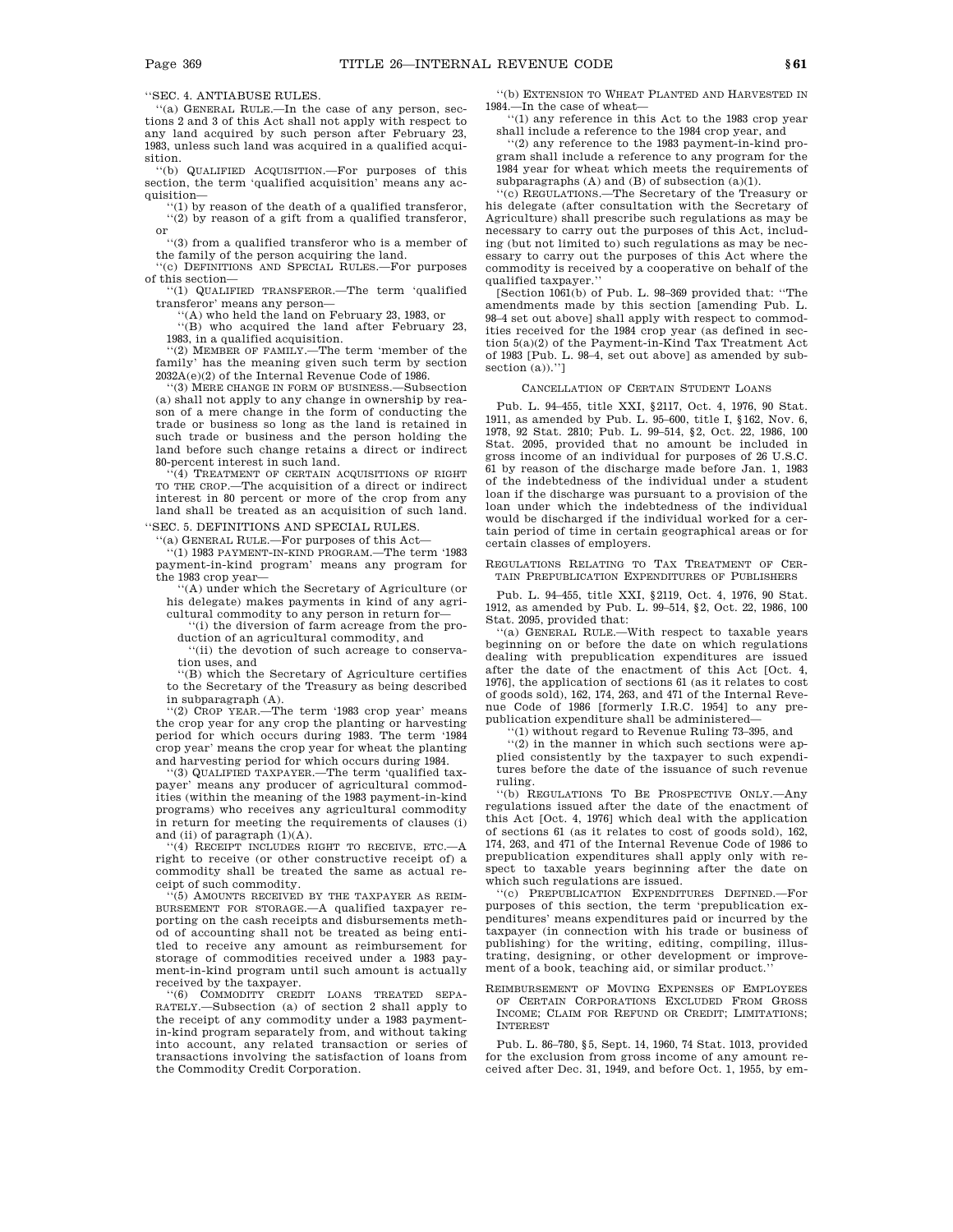''SEC. 4. ANTIABUSE RULES.

''(a) GENERAL RULE.—In the case of any person, sections 2 and 3 of this Act shall not apply with respect to any land acquired by such person after February 23, 1983, unless such land was acquired in a qualified acquisition.

''(b) QUALIFIED ACQUISITION.—For purposes of this section, the term 'qualified acquisition' means any acquisition—

''(1) by reason of the death of a qualified transferor, ''(2) by reason of a gift from a qualified transferor, or

''(3) from a qualified transferor who is a member of the family of the person acquiring the land.

''(c) DEFINITIONS AND SPECIAL RULES.—For purposes of this section—

''(1) QUALIFIED TRANSFEROR.—The term 'qualified transferor' means any person—

 $((A)$  who held the land on February 23, 1983, or

''(B) who acquired the land after February 23, 1983, in a qualified acquisition.

''(2) MEMBER OF FAMILY.—The term 'member of the family' has the meaning given such term by section 2032A(e)(2) of the Internal Revenue Code of 1986.

''(3) MERE CHANGE IN FORM OF BUSINESS.—Subsection (a) shall not apply to any change in ownership by reason of a mere change in the form of conducting the trade or business so long as the land is retained in such trade or business and the person holding the land before such change retains a direct or indirect

80-percent interest in such land. ''(4) TREATMENT OF CERTAIN ACQUISITIONS OF RIGHT TO THE CROP.—The acquisition of a direct or indirect interest in 80 percent or more of the crop from any land shall be treated as an acquisition of such land. ''SEC. 5. DEFINITIONS AND SPECIAL RULES.

''(a) GENERAL RULE.—For purposes of this Act— ''(1) 1983 PAYMENT-IN-KIND PROGRAM.—The term '1983 payment-in-kind program' means any program for the 1983 crop year—

''(A) under which the Secretary of Agriculture (or his delegate) makes payments in kind of any agricultural commodity to any person in return for—

''(i) the diversion of farm acreage from the production of an agricultural commodity, and

''(ii) the devotion of such acreage to conservation uses, and

''(B) which the Secretary of Agriculture certifies to the Secretary of the Treasury as being described

in subparagraph (A). ''(2) CROP YEAR.—The term '1983 crop year' means the crop year for any crop the planting or harvesting period for which occurs during 1983. The term '1984 crop year' means the crop year for wheat the planting and harvesting period for which occurs during 1984.

''(3) QUALIFIED TAXPAYER.—The term 'qualified taxpayer' means any producer of agricultural commodities (within the meaning of the 1983 payment-in-kind programs) who receives any agricultural commodity in return for meeting the requirements of clauses (i) and (ii) of paragraph (1)(A).

''(4) RECEIPT INCLUDES RIGHT TO RECEIVE, ETC.—A right to receive (or other constructive receipt of) a commodity shall be treated the same as actual receipt of such commodity.

''(5) AMOUNTS RECEIVED BY THE TAXPAYER AS REIM-BURSEMENT FOR STORAGE.—A qualified taxpayer reporting on the cash receipts and disbursements method of accounting shall not be treated as being entitled to receive any amount as reimbursement for storage of commodities received under a 1983 payment-in-kind program until such amount is actually received by the taxpayer.

''(6) COMMODITY CREDIT LOANS TREATED SEPA-RATELY.—Subsection (a) of section 2 shall apply to the receipt of any commodity under a 1983 paymentin-kind program separately from, and without taking into account, any related transaction or series of transactions involving the satisfaction of loans from the Commodity Credit Corporation.

''(b) EXTENSION TO WHEAT PLANTED AND HARVESTED IN 1984.—In the case of wheat—

''(1) any reference in this Act to the 1983 crop year shall include a reference to the 1984 crop year, and

''(2) any reference to the 1983 payment-in-kind program shall include a reference to any program for the 1984 year for wheat which meets the requirements of subparagraphs  $(A)$  and  $(B)$  of subsection  $(a)(1)$ .

''(c) REGULATIONS.—The Secretary of the Treasury or his delegate (after consultation with the Secretary of Agriculture) shall prescribe such regulations as may be necessary to carry out the purposes of this Act, including (but not limited to) such regulations as may be necessary to carry out the purposes of this Act where the commodity is received by a cooperative on behalf of the qualified taxpayer.''

[Section 1061(b) of Pub. L. 98–369 provided that: ''The amendments made by this section [amending Pub. L. 98–4 set out above] shall apply with respect to commodities received for the 1984 crop year (as defined in section 5(a)(2) of the Payment-in-Kind Tax Treatment Act of 1983 [Pub. L. 98–4, set out above] as amended by subsection (a)).'']

#### CANCELLATION OF CERTAIN STUDENT LOANS

Pub. L. 94–455, title XXI, §2117, Oct. 4, 1976, 90 Stat. 1911, as amended by Pub. L. 95–600, title I, §162, Nov. 6, 1978, 92 Stat. 2810; Pub. L. 99–514, §2, Oct. 22, 1986, 100 Stat. 2095, provided that no amount be included in gross income of an individual for purposes of 26 U.S.C. 61 by reason of the discharge made before Jan. 1, 1983 of the indebtedness of the individual under a student loan if the discharge was pursuant to a provision of the loan under which the indebtedness of the individual would be discharged if the individual worked for a certain period of time in certain geographical areas or for certain classes of employers.

REGULATIONS RELATING TO TAX TREATMENT OF CER-TAIN PREPUBLICATION EXPENDITURES OF PUBLISHERS

Pub. L. 94–455, title XXI, §2119, Oct. 4, 1976, 90 Stat. 1912, as amended by Pub. L. 99–514, §2, Oct. 22, 1986, 100 Stat. 2095, provided that:

''(a) GENERAL RULE.—With respect to taxable years beginning on or before the date on which regulations dealing with prepublication expenditures are issued after the date of the enactment of this Act [Oct. 4, 1976], the application of sections 61 (as it relates to cost of goods sold), 162, 174, 263, and 471 of the Internal Revenue Code of 1986 [formerly I.R.C. 1954] to any prepublication expenditure shall be administered—

''(1) without regard to Revenue Ruling 73–395, and

''(2) in the manner in which such sections were applied consistently by the taxpayer to such expenditures before the date of the issuance of such revenue ruling.

''(b) REGULATIONS TO BE PROSPECTIVE ONLY.—Any regulations issued after the date of the enactment of this Act [Oct. 4, 1976] which deal with the application of sections 61 (as it relates to cost of goods sold), 162, 174, 263, and 471 of the Internal Revenue Code of 1986 to prepublication expenditures shall apply only with respect to taxable years beginning after the date on which such regulations are issued.

''(c) PREPUBLICATION EXPENDITURES DEFINED.—For purposes of this section, the term 'prepublication expenditures' means expenditures paid or incurred by the taxpayer (in connection with his trade or business of publishing) for the writing, editing, compiling, illustrating, designing, or other development or improvement of a book, teaching aid, or similar product.

REIMBURSEMENT OF MOVING EXPENSES OF EMPLOYEES OF CERTAIN CORPORATIONS EXCLUDED FROM GROSS INCOME; CLAIM FOR REFUND OR CREDIT; LIMITATIONS; INTEREST

Pub. L. 86–780, §5, Sept. 14, 1960, 74 Stat. 1013, provided for the exclusion from gross income of any amount received after Dec. 31, 1949, and before Oct. 1, 1955, by em